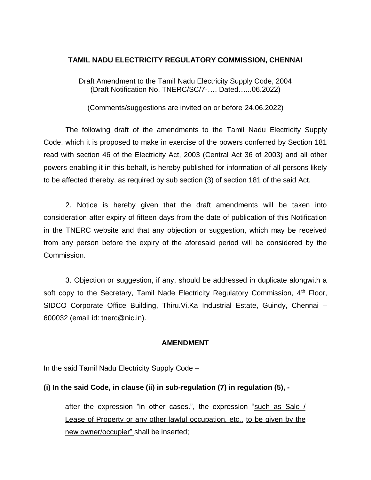#### **TAMIL NADU ELECTRICITY REGULATORY COMMISSION, CHENNAI**

Draft Amendment to the Tamil Nadu Electricity Supply Code, 2004 (Draft Notification No. TNERC/SC/7-…. Dated…...06.2022)

(Comments/suggestions are invited on or before 24.06.2022)

The following draft of the amendments to the Tamil Nadu Electricity Supply Code, which it is proposed to make in exercise of the powers conferred by Section 181 read with section 46 of the Electricity Act, 2003 (Central Act 36 of 2003) and all other powers enabling it in this behalf, is hereby published for information of all persons likely to be affected thereby, as required by sub section (3) of section 181 of the said Act.

2. Notice is hereby given that the draft amendments will be taken into consideration after expiry of fifteen days from the date of publication of this Notification in the TNERC website and that any objection or suggestion, which may be received from any person before the expiry of the aforesaid period will be considered by the Commission.

3. Objection or suggestion, if any, should be addressed in duplicate alongwith a soft copy to the Secretary, Tamil Nade Electricity Regulatory Commission,  $4<sup>th</sup>$  Floor, SIDCO Corporate Office Building, Thiru.Vi.Ka Industrial Estate, Guindy, Chennai – 600032 (email id: tnerc@nic.in).

#### **AMENDMENT**

In the said Tamil Nadu Electricity Supply Code –

#### **(i) In the said Code, in clause (ii) in sub-regulation (7) in regulation (5), -**

after the expression "in other cases.", the expression "such as Sale / Lease of Property or any other lawful occupation, etc., to be given by the new owner/occupier" shall be inserted;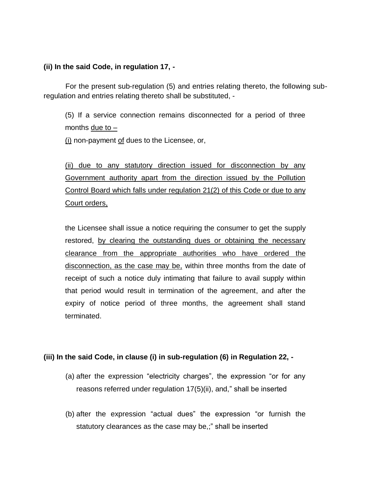#### **(ii) In the said Code, in regulation 17, -**

For the present sub-regulation (5) and entries relating thereto, the following subregulation and entries relating thereto shall be substituted, -

(5) If a service connection remains disconnected for a period of three months due to  $-$ 

(i) non-payment of dues to the Licensee, or,

(ii) due to any statutory direction issued for disconnection by any Government authority apart from the direction issued by the Pollution Control Board which falls under regulation 21(2) of this Code or due to any Court orders,

the Licensee shall issue a notice requiring the consumer to get the supply restored, by clearing the outstanding dues or obtaining the necessary clearance from the appropriate authorities who have ordered the disconnection, as the case may be, within three months from the date of receipt of such a notice duly intimating that failure to avail supply within that period would result in termination of the agreement, and after the expiry of notice period of three months, the agreement shall stand terminated.

## **(iii) In the said Code, in clause (i) in sub-regulation (6) in Regulation 22, -**

- (a) after the expression "electricity charges", the expression "or for any reasons referred under regulation 17(5)(ii), and," shall be inserted
- (b) after the expression "actual dues" the expression "or furnish the statutory clearances as the case may be,;" shall be inserted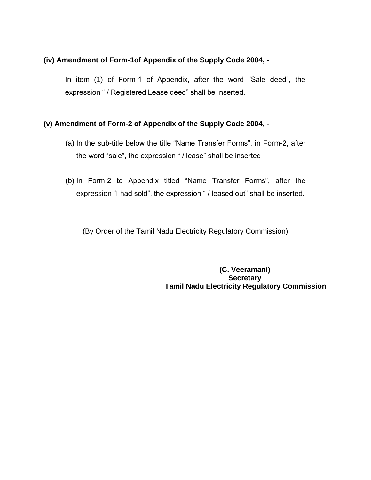#### **(iv) Amendment of Form-1of Appendix of the Supply Code 2004, -**

In item (1) of Form-1 of Appendix, after the word "Sale deed", the expression " / Registered Lease deed" shall be inserted.

#### **(v) Amendment of Form-2 of Appendix of the Supply Code 2004, -**

- (a) In the sub-title below the title "Name Transfer Forms", in Form-2, after the word "sale", the expression " / lease" shall be inserted
- (b) In Form-2 to Appendix titled "Name Transfer Forms", after the expression "I had sold", the expression " / leased out" shall be inserted.

(By Order of the Tamil Nadu Electricity Regulatory Commission)

 **(C. Veeramani) Secretary Tamil Nadu Electricity Regulatory Commission**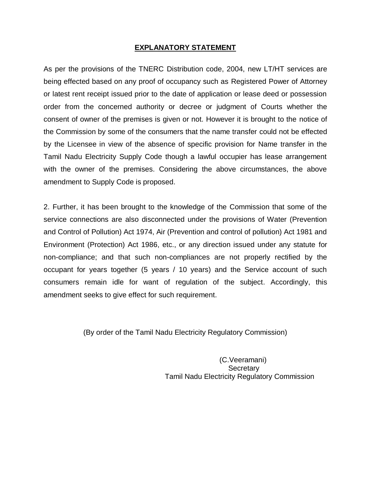### **EXPLANATORY STATEMENT**

As per the provisions of the TNERC Distribution code, 2004, new LT/HT services are being effected based on any proof of occupancy such as Registered Power of Attorney or latest rent receipt issued prior to the date of application or lease deed or possession order from the concerned authority or decree or judgment of Courts whether the consent of owner of the premises is given or not. However it is brought to the notice of the Commission by some of the consumers that the name transfer could not be effected by the Licensee in view of the absence of specific provision for Name transfer in the Tamil Nadu Electricity Supply Code though a lawful occupier has lease arrangement with the owner of the premises. Considering the above circumstances, the above amendment to Supply Code is proposed.

2. Further, it has been brought to the knowledge of the Commission that some of the service connections are also disconnected under the provisions of Water (Prevention and Control of Pollution) Act 1974, Air (Prevention and control of pollution) Act 1981 and Environment (Protection) Act 1986, etc., or any direction issued under any statute for non-compliance; and that such non-compliances are not properly rectified by the occupant for years together (5 years / 10 years) and the Service account of such consumers remain idle for want of regulation of the subject. Accordingly, this amendment seeks to give effect for such requirement.

(By order of the Tamil Nadu Electricity Regulatory Commission)

 (C.Veeramani) **Secretary** Tamil Nadu Electricity Regulatory Commission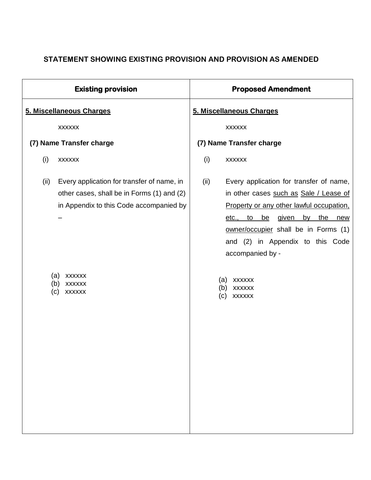# **STATEMENT SHOWING EXISTING PROVISION AND PROVISION AS AMENDED**

| <b>Existing provision</b>                                                                                                                                                                                           | <b>Proposed Amendment</b>                                                                                                                                                                                                                                                                                                                                                                |
|---------------------------------------------------------------------------------------------------------------------------------------------------------------------------------------------------------------------|------------------------------------------------------------------------------------------------------------------------------------------------------------------------------------------------------------------------------------------------------------------------------------------------------------------------------------------------------------------------------------------|
| 5. Miscellaneous Charges                                                                                                                                                                                            | 5. Miscellaneous Charges                                                                                                                                                                                                                                                                                                                                                                 |
| <b>XXXXXX</b>                                                                                                                                                                                                       | <b>XXXXXX</b>                                                                                                                                                                                                                                                                                                                                                                            |
| (7) Name Transfer charge                                                                                                                                                                                            | (7) Name Transfer charge                                                                                                                                                                                                                                                                                                                                                                 |
| (i)<br><b>XXXXXX</b>                                                                                                                                                                                                | (i)<br><b>XXXXXX</b>                                                                                                                                                                                                                                                                                                                                                                     |
| Every application for transfer of name, in<br>(ii)<br>other cases, shall be in Forms (1) and (2)<br>in Appendix to this Code accompanied by<br>(a)<br><b>XXXXXX</b><br>(b)<br><b>XXXXXX</b><br>(c)<br><b>XXXXXX</b> | Every application for transfer of name,<br>(ii)<br>in other cases such as Sale / Lease of<br>Property or any other lawful occupation,<br>given<br>the<br><u>be</u><br>by<br><u>etc.,</u><br>$\mathsf{to}$<br>new<br>owner/occupier shall be in Forms (1)<br>and (2) in Appendix to this Code<br>accompanied by -<br><b>XXXXXX</b><br>(a)<br><b>XXXXXX</b><br>(b)<br><b>XXXXXX</b><br>(c) |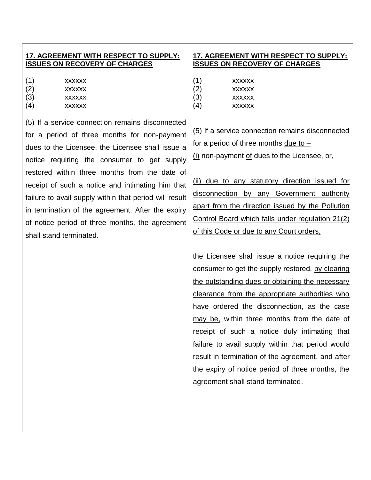### **17. AGREEMENT WITH RESPECT TO SUPPLY: ISSUES ON RECOVERY OF CHARGES**

- (1) xxxxxx (2) xxxxxx
- (3) xxxxxx
- (4) xxxxxx

(5) If a service connection remains disconnected for a period of three months for non-payment dues to the Licensee, the Licensee shall issue a notice requiring the consumer to get supply restored within three months from the date of receipt of such a notice and intimating him that failure to avail supply within that period will result in termination of the agreement. After the expiry of notice period of three months, the agreement shall stand terminated.

## **17. AGREEMENT WITH RESPECT TO SUPPLY: ISSUES ON RECOVERY OF CHARGES**

- (1) xxxxxx (2) xxxxxx (3) xxxxxx
- (4) xxxxxx

(5) If a service connection remains disconnected for a period of three months due to – (i) non-payment of dues to the Licensee, or,

(ii) due to any statutory direction issued for disconnection by any Government authority apart from the direction issued by the Pollution Control Board which falls under regulation 21(2) of this Code or due to any Court orders,

the Licensee shall issue a notice requiring the consumer to get the supply restored, by clearing the outstanding dues or obtaining the necessary clearance from the appropriate authorities who have ordered the disconnection, as the case may be, within three months from the date of receipt of such a notice duly intimating that failure to avail supply within that period would result in termination of the agreement, and after the expiry of notice period of three months, the agreement shall stand terminated.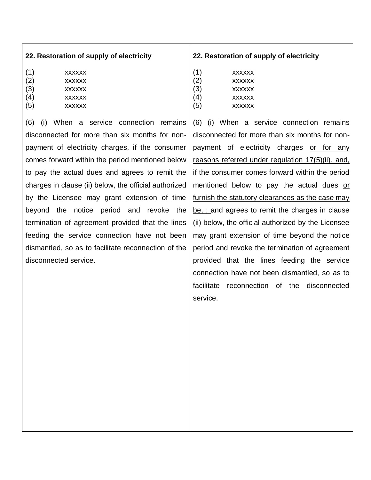| 22. Restoration of supply of electricity |  |  |
|------------------------------------------|--|--|
|                                          |  |  |

| (1)    | <b>XXXXXX</b> |
|--------|---------------|
| (2)    | <b>XXXXXX</b> |
| $\sim$ |               |

- (3) xxxxxx
- (4) xxxxxx
- (5) xxxxxx

(6) (i) When a service connection remains disconnected for more than six months for nonpayment of electricity charges, if the consumer comes forward within the period mentioned below to pay the actual dues and agrees to remit the charges in clause (ii) below, the official authorized by the Licensee may grant extension of time beyond the notice period and revoke the termination of agreement provided that the lines feeding the service connection have not been dismantled, so as to facilitate reconnection of the disconnected service.

## **22. Restoration of supply of electricity**

| <b>XXXXXX</b> |
|---------------|
| <b>XXXXXX</b> |
| <b>XXXXXX</b> |
|               |

- (4) xxxxxx
- (5) xxxxxx

(6) (i) When a service connection remains disconnected for more than six months for nonpayment of electricity charges or for any reasons referred under regulation 17(5)(ii), and, if the consumer comes forward within the period mentioned below to pay the actual dues or furnish the statutory clearances as the case may be, ; and agrees to remit the charges in clause (ii) below, the official authorized by the Licensee may grant extension of time beyond the notice period and revoke the termination of agreement provided that the lines feeding the service connection have not been dismantled, so as to facilitate reconnection of the disconnected service.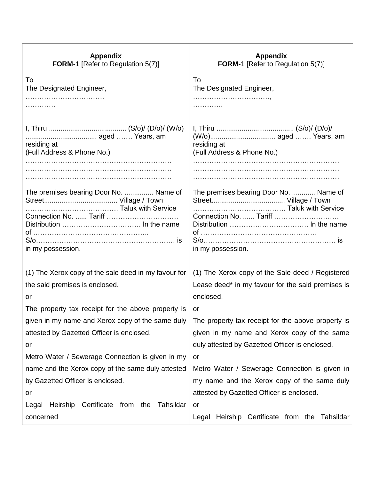| <b>Appendix</b><br><b>FORM-1</b> [Refer to Regulation 5(7)] | <b>Appendix</b><br><b>FORM-1</b> [Refer to Regulation 5(7)] |
|-------------------------------------------------------------|-------------------------------------------------------------|
| To                                                          | To                                                          |
| The Designated Engineer,                                    | The Designated Engineer,                                    |
|                                                             |                                                             |
|                                                             |                                                             |
|                                                             |                                                             |
|                                                             |                                                             |
| residing at<br>(Full Address & Phone No.)                   | residing at<br>(Full Address & Phone No.)                   |
|                                                             |                                                             |
|                                                             |                                                             |
|                                                             |                                                             |
| The premises bearing Door No.  Name of                      | The premises bearing Door No.  Name of                      |
|                                                             |                                                             |
| Connection No.  Tariff                                      | Connection No.  Tariff                                      |
|                                                             |                                                             |
|                                                             |                                                             |
| in my possession.                                           | in my possession.                                           |
|                                                             |                                                             |
| (1) The Xerox copy of the sale deed in my favour for        | (1) The Xerox copy of the Sale deed $\angle$ Registered     |
| the said premises is enclosed.                              | Lease deed* in my favour for the said premises is           |
| or                                                          | enclosed.                                                   |
| The property tax receipt for the above property is          | or                                                          |
| given in my name and Xerox copy of the same duly            | The property tax receipt for the above property is          |
| attested by Gazetted Officer is enclosed.                   | given in my name and Xerox copy of the same                 |
| or                                                          | duly attested by Gazetted Officer is enclosed.              |
| Metro Water / Sewerage Connection is given in my            | or                                                          |
| name and the Xerox copy of the same duly attested           | Metro Water / Sewerage Connection is given in               |
| by Gazetted Officer is enclosed.                            | my name and the Xerox copy of the same duly                 |
| or                                                          | attested by Gazetted Officer is enclosed.                   |
| Heirship Certificate from the<br>Tahsildar<br>Legal         | or                                                          |
| concerned                                                   | Legal Heirship Certificate from the Tahsildar               |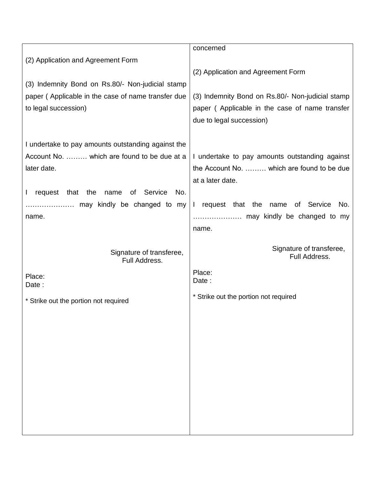|                                                                     | concerned                                               |
|---------------------------------------------------------------------|---------------------------------------------------------|
| (2) Application and Agreement Form                                  |                                                         |
|                                                                     | (2) Application and Agreement Form                      |
| (3) Indemnity Bond on Rs.80/- Non-judicial stamp                    |                                                         |
| paper (Applicable in the case of name transfer due                  | (3) Indemnity Bond on Rs.80/- Non-judicial stamp        |
| to legal succession)                                                |                                                         |
|                                                                     | paper (Applicable in the case of name transfer          |
|                                                                     | due to legal succession)                                |
|                                                                     |                                                         |
| I undertake to pay amounts outstanding against the                  |                                                         |
| Account No.  which are found to be due at a                         | I undertake to pay amounts outstanding against          |
| later date.                                                         | the Account No.  which are found to be due              |
|                                                                     | at a later date.                                        |
| of Service<br>No.<br>request<br>that<br>the<br>name<br>$\mathbf{I}$ |                                                         |
| may kindly be changed to my                                         | request that the name of Service<br>No.<br>$\mathbf{L}$ |
| name.                                                               |                                                         |
|                                                                     | name.                                                   |
|                                                                     |                                                         |
|                                                                     |                                                         |
| Signature of transferee,                                            | Signature of transferee,                                |
| Full Address.                                                       | Full Address.                                           |
|                                                                     | Place:                                                  |
| Place:<br>Date:                                                     | Date:                                                   |
|                                                                     | * Strike out the portion not required                   |
| * Strike out the portion not required                               |                                                         |
|                                                                     |                                                         |
|                                                                     |                                                         |
|                                                                     |                                                         |
|                                                                     |                                                         |
|                                                                     |                                                         |
|                                                                     |                                                         |
|                                                                     |                                                         |
|                                                                     |                                                         |
|                                                                     |                                                         |
|                                                                     |                                                         |